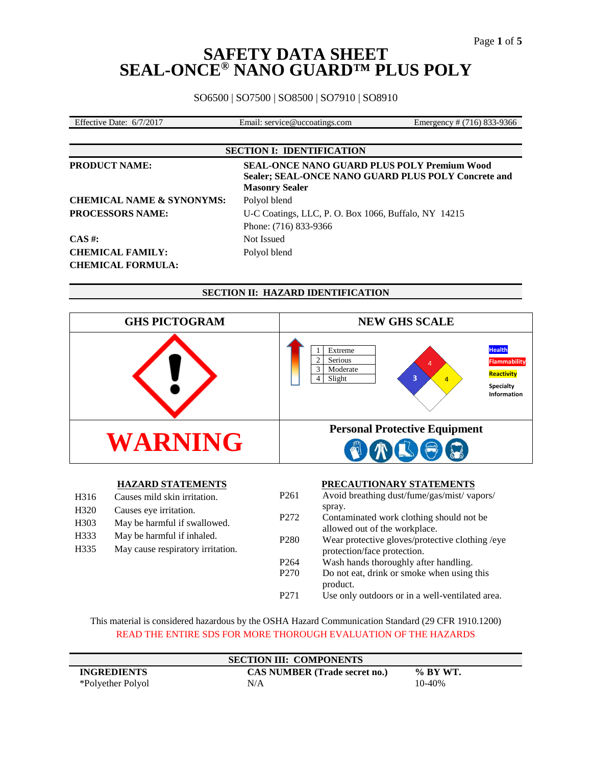SO6500 | SO7500 | SO8500 | SO7910 | SO8910

| $\mathbf{r}$ co<br>/2017<br>.027<br>-9366<br>s.com<br>ervice@u<br>mergency<br>Date<br>Effective<br>6/7<br>∹ma1l<br>uccoatings.<br>$^+$<br>710183.<br>י-ר<br>se: |  |  |
|-----------------------------------------------------------------------------------------------------------------------------------------------------------------|--|--|
|                                                                                                                                                                 |  |  |

**SECTION I: IDENTIFICATION**

| <b>PRODUCT NAME:</b>                 | <b>SEAL-ONCE NANO GUARD PLUS POLY Premium Wood</b><br>Sealer; SEAL-ONCE NANO GUARD PLUS POLY Concrete and<br><b>Masonry Sealer</b> |
|--------------------------------------|------------------------------------------------------------------------------------------------------------------------------------|
| <b>CHEMICAL NAME &amp; SYNONYMS:</b> | Polyol blend                                                                                                                       |
| PROCESSORS NAME:                     | U-C Coatings, LLC, P. O. Box 1066, Buffalo, NY 14215                                                                               |
|                                      | Phone: (716) 833-9366                                                                                                              |
| $CAS \#$ :                           | Not Issued                                                                                                                         |
| <b>CHEMICAL FAMILY:</b>              | Polyol blend                                                                                                                       |
| <b>CHEMICAL FORMULA:</b>             |                                                                                                                                    |

|                                               |                                                                                                                    |                                      | <b>SECTION II: HAZARD IDENTIFICATION</b>                                                                                                                            |
|-----------------------------------------------|--------------------------------------------------------------------------------------------------------------------|--------------------------------------|---------------------------------------------------------------------------------------------------------------------------------------------------------------------|
|                                               | <b>GHS PICTOGRAM</b>                                                                                               |                                      | <b>NEW GHS SCALE</b>                                                                                                                                                |
|                                               |                                                                                                                    |                                      | <b>Health</b><br>Extreme<br>Serious<br><b>Flammability</b><br>$\overline{4}$<br>Moderate<br>Reactivity<br>3<br>Slight<br>$\overline{4}$<br>Specialty<br>Information |
|                                               | WARNING                                                                                                            |                                      | <b>Personal Protective Equipment</b>                                                                                                                                |
| H316<br>H <sub>320</sub><br>H <sub>3</sub> 03 | <b>HAZARD STATEMENTS</b><br>Causes mild skin irritation.<br>Causes eye irritation.<br>May be harmful if swallowed. | P <sub>261</sub><br>P <sub>272</sub> | PRECAUTIONARY STATEMENTS<br>Avoid breathing dust/fume/gas/mist/ vapors/<br>spray.<br>Contaminated work clothing should not be<br>allowed out of the workplace.      |

P271 Use only outdoors or in a well-ventilated area. This material is considered hazardous by the OSHA Hazard Communication Standard (29 CFR 1910.1200) READ THE ENTIRE SDS FOR MORE THOROUGH EVALUATION OF THE HAZARDS

P280 Wear protective gloves/protective clothing /eye

protection/face protection. P264 Wash hands thoroughly after handling. P270 Do not eat, drink or smoke when using this

product.

H333 H335

May be harmful if inhaled. May cause respiratory irritation.

|                    | <b>SECTION III: COMPONENTS</b>       |             |
|--------------------|--------------------------------------|-------------|
| <b>INGREDIENTS</b> | <b>CAS NUMBER</b> (Trade secret no.) | $\%$ BY WT. |
| *Polyether Polyol  | N/A                                  | 10-40%      |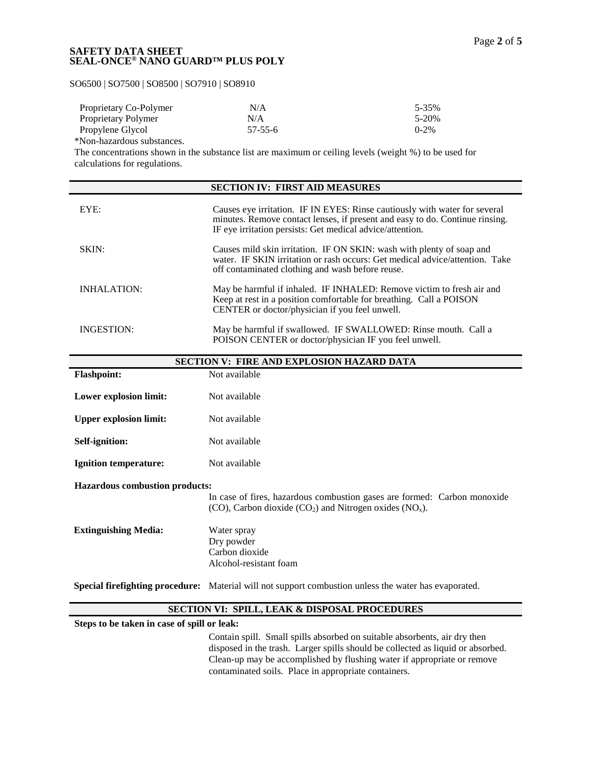## SO6500 | SO7500 | SO8500 | SO7910 | SO8910

| Proprietary Co-Polymer | N/A           | 5-35%     |
|------------------------|---------------|-----------|
| Proprietary Polymer    | N/A           | 5-20%     |
| Propylene Glycol       | $57 - 55 - 6$ | $0 - 2\%$ |

\*Non-hazardous substances.

The concentrations shown in the substance list are maximum or ceiling levels (weight %) to be used for calculations for regulations.

|                    | <b>SECTION IV: FIRST AID MEASURES</b>                                                                                                                                                                                   |
|--------------------|-------------------------------------------------------------------------------------------------------------------------------------------------------------------------------------------------------------------------|
| EYE:               | Causes eye irritation. IF IN EYES: Rinse cautiously with water for several<br>minutes. Remove contact lenses, if present and easy to do. Continue rinsing.<br>IF eye irritation persists: Get medical advice/attention. |
| SKIN:              | Causes mild skin irritation. IF ON SKIN: wash with plenty of soap and<br>water. IF SKIN irritation or rash occurs: Get medical advice/attention. Take<br>off contaminated clothing and wash before reuse.               |
| <b>INHALATION:</b> | May be harmful if inhaled. IF INHALED: Remove victim to fresh air and<br>Keep at rest in a position comfortable for breathing. Call a POISON<br>CENTER or doctor/physician if you feel unwell.                          |
| INGESTION:         | May be harmful if swallowed. IF SWALLOWED: Rinse mouth. Call a<br>POISON CENTER or doctor/physician IF you feel unwell.                                                                                                 |

|                                       | <b>SECTION V: FIRE AND EXPLOSION HAZARD DATA</b>                                                                                                            |
|---------------------------------------|-------------------------------------------------------------------------------------------------------------------------------------------------------------|
| <b>Flashpoint:</b>                    | Not available                                                                                                                                               |
| Lower explosion limit:                | Not available                                                                                                                                               |
| <b>Upper explosion limit:</b>         | Not available                                                                                                                                               |
| Self-ignition:                        | Not available                                                                                                                                               |
| <b>Ignition temperature:</b>          | Not available                                                                                                                                               |
| <b>Hazardous combustion products:</b> |                                                                                                                                                             |
|                                       | In case of fires, hazardous combustion gases are formed: Carbon monoxide<br>(CO), Carbon dioxide (CO <sub>2</sub> ) and Nitrogen oxides (NO <sub>x</sub> ). |
| <b>Extinguishing Media:</b>           | Water spray                                                                                                                                                 |
|                                       | Dry powder                                                                                                                                                  |
|                                       | Carbon dioxide                                                                                                                                              |
|                                       | Alcohol-resistant foam                                                                                                                                      |
|                                       | <b>Special firefighting procedure:</b> Material will not support combustion unless the water has evaporated.                                                |

## **SECTION VI: SPILL, LEAK & DISPOSAL PROCEDURES**

**Steps to be taken in case of spill or leak:**

Contain spill. Small spills absorbed on suitable absorbents, air dry then disposed in the trash. Larger spills should be collected as liquid or absorbed. Clean-up may be accomplished by flushing water if appropriate or remove contaminated soils. Place in appropriate containers.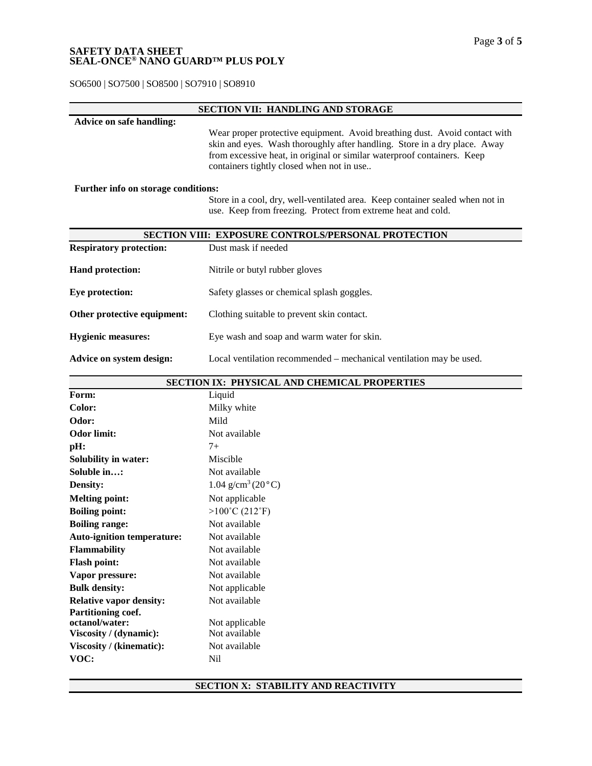SO6500 | SO7500 | SO8500 | SO7910 | SO8910

### **SECTION VII: HANDLING AND STORAGE**

## **Advice on safe handling:** Wear proper protective equipment. Avoid breathing dust. Avoid contact with skin and eyes. Wash thoroughly after handling. Store in a dry place. Away from excessive heat, in original or similar waterproof containers. Keep containers tightly closed when not in use..

#### **Further info on storage conditions:**

Store in a cool, dry, well-ventilated area. Keep container sealed when not in use. Keep from freezing. Protect from extreme heat and cold.

|                                | <b>SECTION VIII: EXPOSURE CONTROLS/PERSONAL PROTECTION</b>          |
|--------------------------------|---------------------------------------------------------------------|
| <b>Respiratory protection:</b> | Dust mask if needed                                                 |
| <b>Hand protection:</b>        | Nitrile or butyl rubber gloves                                      |
| Eye protection:                | Safety glasses or chemical splash goggles.                          |
| Other protective equipment:    | Clothing suitable to prevent skin contact.                          |
| <b>Hygienic measures:</b>      | Eye wash and soap and warm water for skin.                          |
| Advice on system design:       | Local ventilation recommended – mechanical ventilation may be used. |

|                                   | SECTION IX: PHYSICAL AND CHEMICAL PROPERTIES |
|-----------------------------------|----------------------------------------------|
| Form:                             | Liquid                                       |
| Color:                            | Milky white                                  |
| Odor:                             | Mild                                         |
| <b>Odor limit:</b>                | Not available                                |
| pH:                               | $7+$                                         |
| <b>Solubility in water:</b>       | Miscible                                     |
| Soluble in:                       | Not available                                |
| <b>Density:</b>                   | $1.04$ g/cm <sup>3</sup> (20 $\degree$ C)    |
| <b>Melting point:</b>             | Not applicable                               |
| <b>Boiling point:</b>             | $>100^{\circ}$ C (212 $^{\circ}$ F)          |
| <b>Boiling range:</b>             | Not available                                |
| <b>Auto-ignition temperature:</b> | Not available                                |
| <b>Flammability</b>               | Not available                                |
| <b>Flash point:</b>               | Not available                                |
| Vapor pressure:                   | Not available                                |
| <b>Bulk density:</b>              | Not applicable                               |
| <b>Relative vapor density:</b>    | Not available                                |
| Partitioning coef.                |                                              |
| octanol/water:                    | Not applicable                               |
| Viscosity / (dynamic):            | Not available                                |
| Viscosity / (kinematic):          | Not available                                |
| VOC:                              | Nil                                          |

## **SECTION X: STABILITY AND REACTIVITY**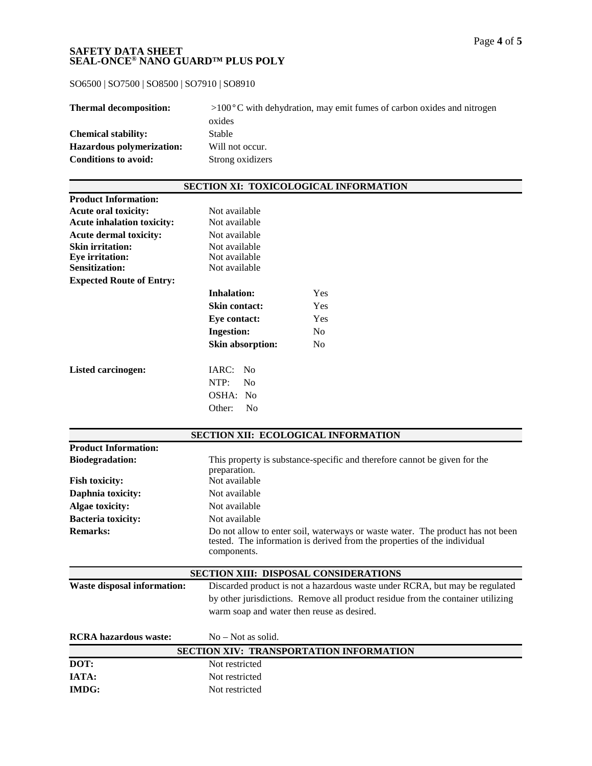SO6500 | SO7500 | SO8500 | SO7910 | SO8910

| <b>Thermal decomposition:</b> | $>100^{\circ}$ C with dehydration, may emit fumes of carbon oxides and nitrogen |
|-------------------------------|---------------------------------------------------------------------------------|
|                               | oxides                                                                          |
| <b>Chemical stability:</b>    | Stable                                                                          |
| Hazardous polymerization:     | Will not occur.                                                                 |
| <b>Conditions to avoid:</b>   | Strong oxidizers                                                                |

## **SECTION XI: TOXICOLOGICAL INFORMATION**

| <b>Product Information:</b>       |                         |                |
|-----------------------------------|-------------------------|----------------|
| <b>Acute oral toxicity:</b>       | Not available           |                |
| <b>Acute inhalation toxicity:</b> | Not available           |                |
| <b>Acute dermal toxicity:</b>     | Not available           |                |
| <b>Skin irritation:</b>           | Not available           |                |
| <b>Eye</b> irritation:            | Not available           |                |
| <b>Sensitization:</b>             | Not available           |                |
| <b>Expected Route of Entry:</b>   |                         |                |
|                                   | Inhalation:             | Yes.           |
|                                   | Skin contact:           | <b>Yes</b>     |
|                                   | Eye contact:            | Yes            |
|                                   | <b>Ingestion:</b>       | No.            |
|                                   | <b>Skin absorption:</b> | N <sub>0</sub> |
| Listed carcinogen:                | IARC: No                |                |
|                                   | NTP:<br>No              |                |
|                                   | OSHA: No                |                |
|                                   | No<br>Other:            |                |

|                                    | <b>SECTION XII: ECOLOGICAL INFORMATION</b>                                                                                                                                                                   |
|------------------------------------|--------------------------------------------------------------------------------------------------------------------------------------------------------------------------------------------------------------|
| <b>Product Information:</b>        |                                                                                                                                                                                                              |
| <b>Biodegradation:</b>             | This property is substance-specific and therefore cannot be given for the<br>preparation.                                                                                                                    |
| <b>Fish toxicity:</b>              | Not available                                                                                                                                                                                                |
| Daphnia toxicity:                  | Not available                                                                                                                                                                                                |
| Algae toxicity:                    | Not available                                                                                                                                                                                                |
| <b>Bacteria toxicity:</b>          | Not available                                                                                                                                                                                                |
| <b>Remarks:</b>                    | Do not allow to enter soil, waterways or waste water. The product has not been<br>tested. The information is derived from the properties of the individual<br>components.                                    |
|                                    |                                                                                                                                                                                                              |
|                                    | <b>SECTION XIII: DISPOSAL CONSIDERATIONS</b>                                                                                                                                                                 |
| <b>Waste disposal information:</b> | Discarded product is not a hazardous waste under RCRA, but may be regulated<br>by other jurisdictions. Remove all product residue from the container utilizing<br>warm soap and water then reuse as desired. |
| <b>RCRA</b> hazardous waste:       | $No - Not$ as solid.                                                                                                                                                                                         |
|                                    | SECTION XIV: TRANSPORTATION INFORMATION                                                                                                                                                                      |
| DOT:                               | Not restricted                                                                                                                                                                                               |
| <b>IATA:</b>                       | Not restricted                                                                                                                                                                                               |